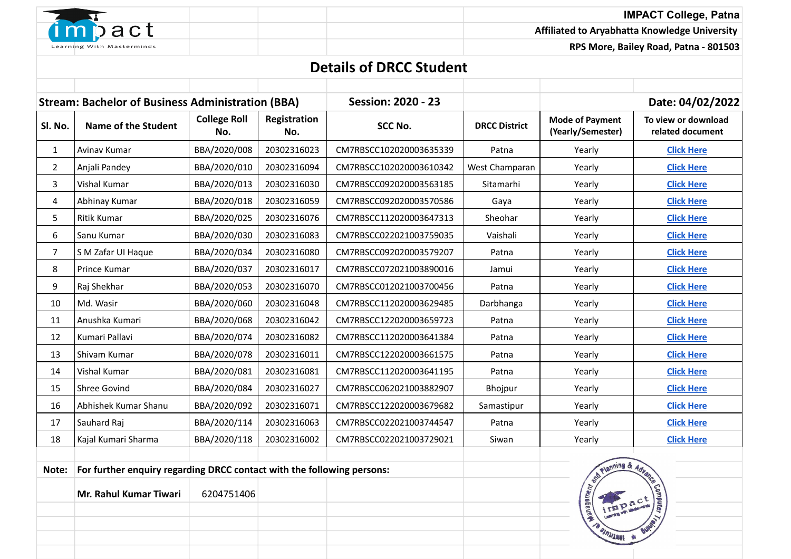

**IMPACT College, Patna**

**Affiliated to Aryabhatta Knowledge University** 

**RPS More, Bailey Road, Patna - 801503**

## **Details of DRCC Student**

| <b>Stream: Bachelor of Business Administration (BBA)</b> |                                                          |              |              | <b>Session: 2020 - 23</b> |                      | Date: 04/02/2022                            |                                         |
|----------------------------------------------------------|----------------------------------------------------------|--------------|--------------|---------------------------|----------------------|---------------------------------------------|-----------------------------------------|
| Sl. No.                                                  | <b>College Roll</b><br>Name of the Student<br>No.<br>No. |              | Registration | <b>SCC No.</b>            | <b>DRCC District</b> | <b>Mode of Payment</b><br>(Yearly/Semester) | To view or download<br>related document |
| $\mathbf{1}$                                             | Avinav Kumar                                             | BBA/2020/008 | 20302316023  | CM7RBSCC102020003635339   | Patna                | Yearly                                      | <b>Click Here</b>                       |
| $\overline{2}$                                           | Anjali Pandey                                            | BBA/2020/010 | 20302316094  | CM7RBSCC102020003610342   | West Champaran       | Yearly                                      | <b>Click Here</b>                       |
| 3                                                        | Vishal Kumar                                             | BBA/2020/013 | 20302316030  | CM7RBSCC092020003563185   | Sitamarhi            | Yearly                                      | <b>Click Here</b>                       |
| 4                                                        | Abhinay Kumar                                            | BBA/2020/018 | 20302316059  | CM7RBSCC092020003570586   | Gaya                 | Yearly                                      | <b>Click Here</b>                       |
| 5                                                        | <b>Ritik Kumar</b>                                       | BBA/2020/025 | 20302316076  | CM7RBSCC112020003647313   | Sheohar              | Yearly                                      | <b>Click Here</b>                       |
| 6                                                        | Sanu Kumar                                               | BBA/2020/030 | 20302316083  | CM7RBSCC022021003759035   | Vaishali             | Yearly                                      | <b>Click Here</b>                       |
| $\overline{7}$                                           | S M Zafar UI Haque                                       | BBA/2020/034 | 20302316080  | CM7RBSCC092020003579207   | Patna                | Yearly                                      | <b>Click Here</b>                       |
| 8                                                        | <b>Prince Kumar</b>                                      | BBA/2020/037 | 20302316017  | CM7RBSCC072021003890016   | Jamui                | Yearly                                      | <b>Click Here</b>                       |
| 9                                                        | Raj Shekhar                                              | BBA/2020/053 | 20302316070  | CM7RBSCC012021003700456   | Patna                | Yearly                                      | <b>Click Here</b>                       |
| 10                                                       | Md. Wasir                                                | BBA/2020/060 | 20302316048  | CM7RBSCC112020003629485   | Darbhanga            | Yearly                                      | <b>Click Here</b>                       |
| 11                                                       | Anushka Kumari                                           | BBA/2020/068 | 20302316042  | CM7RBSCC122020003659723   | Patna                | Yearly                                      | <b>Click Here</b>                       |
| 12                                                       | Kumari Pallavi                                           | BBA/2020/074 | 20302316082  | CM7RBSCC112020003641384   | Patna                | Yearly                                      | <b>Click Here</b>                       |
| 13                                                       | Shivam Kumar                                             | BBA/2020/078 | 20302316011  | CM7RBSCC122020003661575   | Patna                | Yearly                                      | <b>Click Here</b>                       |
| 14                                                       | Vishal Kumar                                             | BBA/2020/081 | 20302316081  | CM7RBSCC112020003641195   | Patna                | Yearly                                      | <b>Click Here</b>                       |
| 15                                                       | <b>Shree Govind</b>                                      | BBA/2020/084 | 20302316027  | CM7RBSCC062021003882907   | Bhojpur              | Yearly                                      | <b>Click Here</b>                       |
| 16                                                       | Abhishek Kumar Shanu                                     | BBA/2020/092 | 20302316071  | CM7RBSCC122020003679682   | Samastipur           | Yearly                                      | <b>Click Here</b>                       |
| 17                                                       | Sauhard Raj                                              | BBA/2020/114 | 20302316063  | CM7RBSCC022021003744547   | Patna                | Yearly                                      | <b>Click Here</b>                       |
| 18                                                       | Kajal Kumari Sharma                                      | BBA/2020/118 | 20302316002  | CM7RBSCC022021003729021   | Siwan                | Yearly                                      | <b>Click Here</b>                       |
|                                                          |                                                          |              |              |                           |                      |                                             |                                         |

**Note: For further enquiry regarding DRCC contact with the following persons:**

**Mr. Rahul Kumar Tiwari** 6204751406

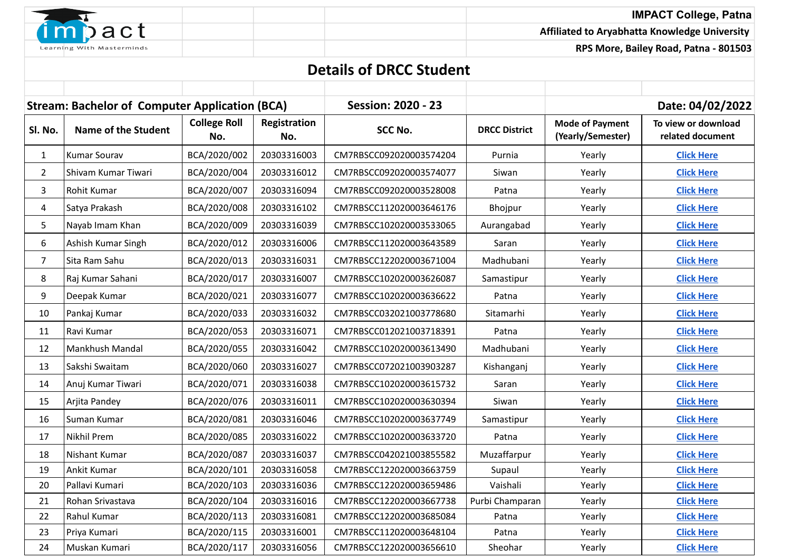

**IMPACT College, Patna**

**Affiliated to Aryabhatta Knowledge University** 

**RPS More, Bailey Road, Patna - 801503**

## **Details of DRCC Student**

| <b>Stream: Bachelor of Computer Application (BCA)</b> |                            |                            | <b>Session: 2020 - 23</b> |                         |                      | Date: 04/02/2022                            |                                         |
|-------------------------------------------------------|----------------------------|----------------------------|---------------------------|-------------------------|----------------------|---------------------------------------------|-----------------------------------------|
| Sl. No.                                               | <b>Name of the Student</b> | <b>College Roll</b><br>No. | Registration<br>No.       | <b>SCC No.</b>          | <b>DRCC District</b> | <b>Mode of Payment</b><br>(Yearly/Semester) | To view or download<br>related document |
| $\mathbf{1}$                                          | Kumar Sourav               | BCA/2020/002               | 20303316003               | CM7RBSCC092020003574204 | Purnia               | Yearly                                      | <b>Click Here</b>                       |
| $2^{\circ}$                                           | Shivam Kumar Tiwari        | BCA/2020/004               | 20303316012               | CM7RBSCC092020003574077 | Siwan                | Yearly                                      | <b>Click Here</b>                       |
| 3                                                     | Rohit Kumar                | BCA/2020/007               | 20303316094               | CM7RBSCC092020003528008 | Patna                | Yearly                                      | <b>Click Here</b>                       |
| $\overline{4}$                                        | Satya Prakash              | BCA/2020/008               | 20303316102               | CM7RBSCC112020003646176 | Bhojpur              | Yearly                                      | <b>Click Here</b>                       |
| 5                                                     | Nayab Imam Khan            | BCA/2020/009               | 20303316039               | CM7RBSCC102020003533065 | Aurangabad           | Yearly                                      | <b>Click Here</b>                       |
| 6                                                     | Ashish Kumar Singh         | BCA/2020/012               | 20303316006               | CM7RBSCC112020003643589 | Saran                | Yearly                                      | <b>Click Here</b>                       |
| $\overline{7}$                                        | Sita Ram Sahu              | BCA/2020/013               | 20303316031               | CM7RBSCC122020003671004 | Madhubani            | Yearly                                      | <b>Click Here</b>                       |
| 8                                                     | Raj Kumar Sahani           | BCA/2020/017               | 20303316007               | CM7RBSCC102020003626087 | Samastipur           | Yearly                                      | <b>Click Here</b>                       |
| 9                                                     | Deepak Kumar               | BCA/2020/021               | 20303316077               | CM7RBSCC102020003636622 | Patna                | Yearly                                      | <b>Click Here</b>                       |
| 10                                                    | Pankaj Kumar               | BCA/2020/033               | 20303316032               | CM7RBSCC032021003778680 | Sitamarhi            | Yearly                                      | <b>Click Here</b>                       |
| 11                                                    | Ravi Kumar                 | BCA/2020/053               | 20303316071               | CM7RBSCC012021003718391 | Patna                | Yearly                                      | <b>Click Here</b>                       |
| 12                                                    | Mankhush Mandal            | BCA/2020/055               | 20303316042               | CM7RBSCC102020003613490 | Madhubani            | Yearly                                      | <b>Click Here</b>                       |
| 13                                                    | Sakshi Swaitam             | BCA/2020/060               | 20303316027               | CM7RBSCC072021003903287 | Kishanganj           | Yearly                                      | <b>Click Here</b>                       |
| 14                                                    | Anuj Kumar Tiwari          | BCA/2020/071               | 20303316038               | CM7RBSCC102020003615732 | Saran                | Yearly                                      | <b>Click Here</b>                       |
| 15                                                    | Arjita Pandey              | BCA/2020/076               | 20303316011               | CM7RBSCC102020003630394 | Siwan                | Yearly                                      | <b>Click Here</b>                       |
| 16                                                    | Suman Kumar                | BCA/2020/081               | 20303316046               | CM7RBSCC102020003637749 | Samastipur           | Yearly                                      | <b>Click Here</b>                       |
| 17                                                    | <b>Nikhil Prem</b>         | BCA/2020/085               | 20303316022               | CM7RBSCC102020003633720 | Patna                | Yearly                                      | <b>Click Here</b>                       |
| 18                                                    | Nishant Kumar              | BCA/2020/087               | 20303316037               | CM7RBSCC042021003855582 | Muzaffarpur          | Yearly                                      | <b>Click Here</b>                       |
| 19                                                    | Ankit Kumar                | BCA/2020/101               | 20303316058               | CM7RBSCC122020003663759 | Supaul               | Yearly                                      | <b>Click Here</b>                       |
| 20                                                    | Pallavi Kumari             | BCA/2020/103               | 20303316036               | CM7RBSCC122020003659486 | Vaishali             | Yearly                                      | <b>Click Here</b>                       |
| 21                                                    | Rohan Srivastava           | BCA/2020/104               | 20303316016               | CM7RBSCC122020003667738 | Purbi Champaran      | Yearly                                      | <b>Click Here</b>                       |
| 22                                                    | Rahul Kumar                | BCA/2020/113               | 20303316081               | CM7RBSCC122020003685084 | Patna                | Yearly                                      | <b>Click Here</b>                       |
| 23                                                    | Priya Kumari               | BCA/2020/115               | 20303316001               | CM7RBSCC112020003648104 | Patna                | Yearly                                      | <b>Click Here</b>                       |
| 24                                                    | Muskan Kumari              | BCA/2020/117               | 20303316056               | CM7RBSCC122020003656610 | Sheohar              | Yearly                                      | <b>Click Here</b>                       |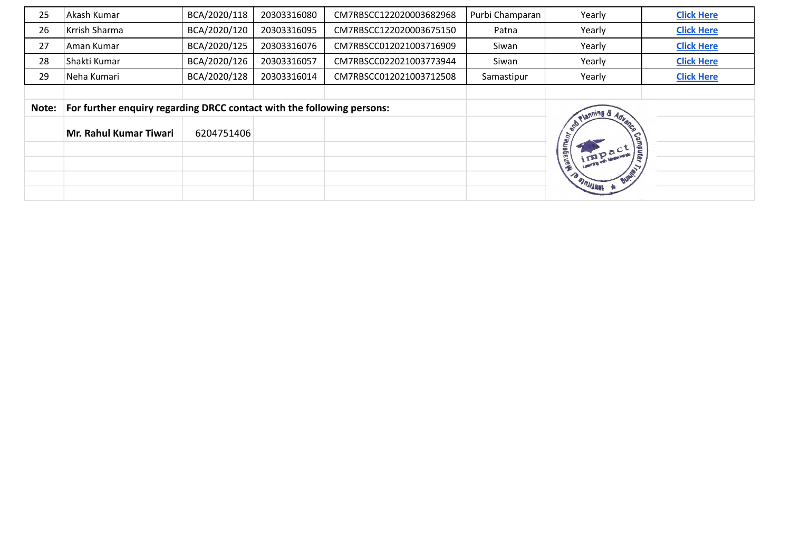| 25    | Akash Kumar                                                            | BCA/2020/118 | 20303316080 | CM7RBSCC122020003682968 | Purbi Champaran | Yearly                                                                                     | <b>Click Here</b> |
|-------|------------------------------------------------------------------------|--------------|-------------|-------------------------|-----------------|--------------------------------------------------------------------------------------------|-------------------|
| 26    | Krrish Sharma                                                          | BCA/2020/120 | 20303316095 | CM7RBSCC122020003675150 | Patna           | Yearly                                                                                     | <b>Click Here</b> |
| 27    | Aman Kumar                                                             | BCA/2020/125 | 20303316076 | CM7RBSCC012021003716909 | Siwan           | Yearly                                                                                     | <b>Click Here</b> |
| 28    | Shakti Kumar                                                           | BCA/2020/126 | 20303316057 | CM7RBSCC022021003773944 | Siwan           | Yearly                                                                                     | <b>Click Here</b> |
| 29    | Neha Kumari                                                            | BCA/2020/128 | 20303316014 | CM7RBSCC012021003712508 | Samastipur      | Yearly                                                                                     | <b>Click Here</b> |
|       |                                                                        |              |             |                         |                 |                                                                                            |                   |
| Note: | For further enquiry regarding DRCC contact with the following persons: |              |             |                         | ·lanning & Adva |                                                                                            |                   |
|       | Mr. Rahul Kumar Tiwari                                                 | 6204751406   |             |                         |                 | anagement<br>Computer<br>$\mathcal{O}^{\alpha C^{k}}$<br>Business ?<br><b>SURVEY STATE</b> |                   |
|       |                                                                        |              |             |                         |                 |                                                                                            |                   |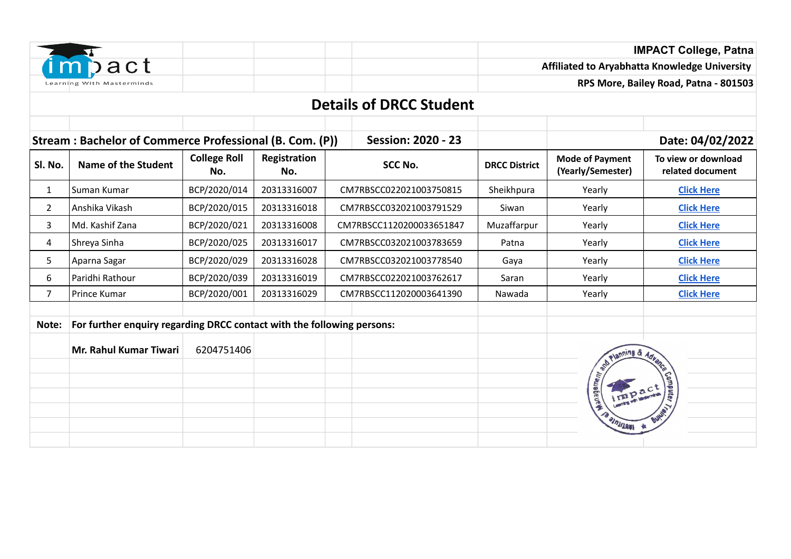|                           |                                                                                                          |                                                   |             |                          |                         | <b>IMPACT College, Patna</b>                |                                                              |                   |  |  |  |
|---------------------------|----------------------------------------------------------------------------------------------------------|---------------------------------------------------|-------------|--------------------------|-------------------------|---------------------------------------------|--------------------------------------------------------------|-------------------|--|--|--|
| impact                    |                                                                                                          |                                                   |             |                          |                         |                                             | Affiliated to Aryabhatta Knowledge University                |                   |  |  |  |
| Learning With Masterminds |                                                                                                          |                                                   |             |                          |                         | RPS More, Bailey Road, Patna - 801503       |                                                              |                   |  |  |  |
|                           | <b>Details of DRCC Student</b>                                                                           |                                                   |             |                          |                         |                                             |                                                              |                   |  |  |  |
|                           |                                                                                                          |                                                   |             |                          |                         |                                             |                                                              |                   |  |  |  |
|                           | <b>Session: 2020 - 23</b><br>Stream: Bachelor of Commerce Professional (B. Com. (P))<br>Date: 04/02/2022 |                                                   |             |                          |                         |                                             |                                                              |                   |  |  |  |
| Sl. No.                   | <b>Name of the Student</b>                                                                               | <b>College Roll</b><br>Registration<br>No.<br>No. |             | <b>SCC No.</b>           | <b>DRCC District</b>    | <b>Mode of Payment</b><br>(Yearly/Semester) | To view or download<br>related document                      |                   |  |  |  |
| $\mathbf{1}$              | Suman Kumar                                                                                              | BCP/2020/014                                      | 20313316007 |                          | CM7RBSCC022021003750815 | Sheikhpura                                  | Yearly                                                       | <b>Click Here</b> |  |  |  |
| $\overline{2}$            | Anshika Vikash                                                                                           | BCP/2020/015                                      | 20313316018 | CM7RBSCC032021003791529  |                         | Siwan                                       | Yearly                                                       | <b>Click Here</b> |  |  |  |
| 3                         | Md. Kashif Zana                                                                                          | BCP/2020/021                                      | 20313316008 | CM7RBSCC1120200033651847 |                         | Muzaffarpur                                 | Yearly                                                       | <b>Click Here</b> |  |  |  |
| 4                         | Shreya Sinha                                                                                             | BCP/2020/025                                      | 20313316017 | CM7RBSCC032021003783659  |                         | Patna                                       | Yearly                                                       | <b>Click Here</b> |  |  |  |
| 5                         | Aparna Sagar                                                                                             | BCP/2020/029                                      | 20313316028 | CM7RBSCC032021003778540  |                         | Gaya                                        | Yearly                                                       | <b>Click Here</b> |  |  |  |
| 6                         | Paridhi Rathour                                                                                          | BCP/2020/039                                      | 20313316019 | CM7RBSCC022021003762617  |                         | Saran                                       | Yearly                                                       | <b>Click Here</b> |  |  |  |
| $\overline{7}$            | Prince Kumar                                                                                             | BCP/2020/001                                      | 20313316029 | CM7RBSCC112020003641390  |                         | Nawada                                      | Yearly                                                       | <b>Click Here</b> |  |  |  |
| Note:                     | For further enquiry regarding DRCC contact with the following persons:                                   |                                                   |             |                          |                         |                                             |                                                              |                   |  |  |  |
|                           | <b>Mr. Rahul Kumar Tiwari</b>                                                                            | 6204751406                                        |             |                          |                         |                                             | elanning & Adva                                              |                   |  |  |  |
|                           |                                                                                                          |                                                   |             |                          |                         |                                             | Big IlliamsBeut N<br><b>Computer</b><br>imp<br><b>OINING</b> |                   |  |  |  |